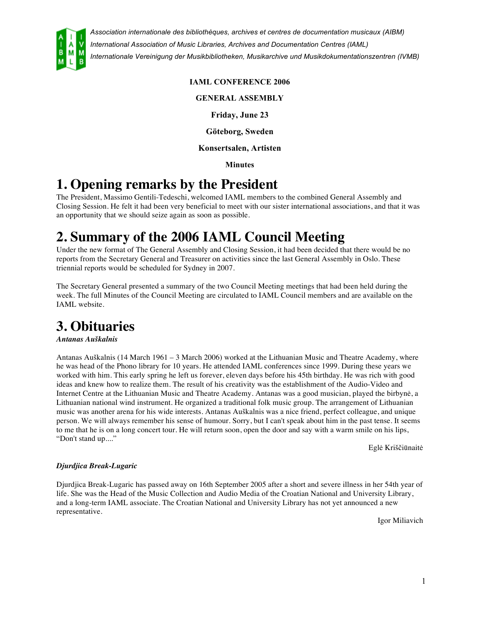

#### **IAML CONFERENCE 2006**

**GENERAL ASSEMBLY**

**Friday, June 23**

**Göteborg, Sweden**

**Konsertsalen, Artisten**

**Minutes**

# **1. Opening remarks by the President**

The President, Massimo Gentili-Tedeschi, welcomed IAML members to the combined General Assembly and Closing Session. He felt it had been very beneficial to meet with our sister international associations, and that it was an opportunity that we should seize again as soon as possible.

# **2. Summary of the 2006 IAML Council Meeting**

Under the new format of The General Assembly and Closing Session, it had been decided that there would be no reports from the Secretary General and Treasurer on activities since the last General Assembly in Oslo. These triennial reports would be scheduled for Sydney in 2007.

The Secretary General presented a summary of the two Council Meeting meetings that had been held during the week. The full Minutes of the Council Meeting are circulated to IAML Council members and are available on the IAML website.

# **3. Obituaries**

#### *Antanas Auškalnis*

Antanas Auškalnis (14 March 1961 – 3 March 2006) worked at the Lithuanian Music and Theatre Academy, where he was head of the Phono library for 10 years. He attended IAML conferences since 1999. During these years we worked with him. This early spring he left us forever, eleven days before his 45th birthday. He was rich with good ideas and knew how to realize them. The result of his creativity was the establishment of the Audio-Video and Internet Centre at the Lithuanian Music and Theatre Academy. Antanas was a good musician, played the birbynė, a Lithuanian national wind instrument. He organized a traditional folk music group. The arrangement of Lithuanian music was another arena for his wide interests. Antanas Auškalnis was a nice friend, perfect colleague, and unique person. We will always remember his sense of humour. Sorry, but I can't speak about him in the past tense. It seems to me that he is on a long concert tour. He will return soon, open the door and say with a warm smile on his lips, "Don't stand up...."

Eglė Kriščiūnaitė

#### *Djurdjica Break-Lugaric*

Djurdjica Break-Lugaric has passed away on 16th September 2005 after a short and severe illness in her 54th year of life. She was the Head of the Music Collection and Audio Media of the Croatian National and University Library, and a long-term IAML associate. The Croatian National and University Library has not yet announced a new representative.

Igor Miliavich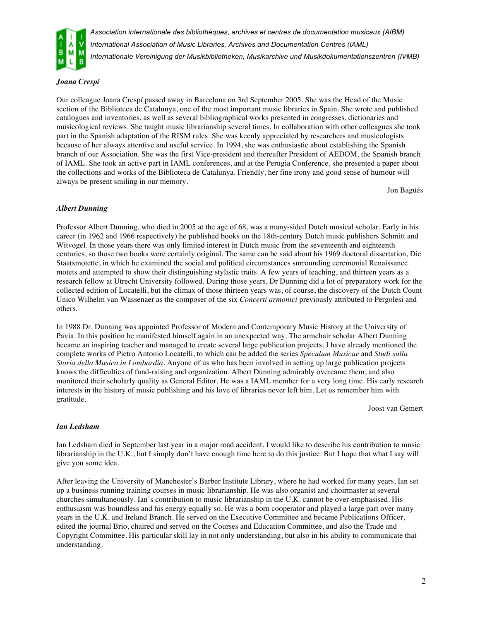

#### *Joana Crespí*

Our colleague Joana Crespí passed away in Barcelona on 3rd September 2005. She was the Head of the Music section of the Biblioteca de Catalunya, one of the most important music libraries in Spain. She wrote and published catalogues and inventories, as well as several bibliographical works presented in congresses, dictionaries and musicological reviews. She taught music librarianship several times. In collaboration with other colleagues she took part in the Spanish adaptation of the RISM rules. She was keenly appreciated by researchers and musicologists because of her always attentive and useful service. In 1994, she was enthusiastic about establishing the Spanish branch of our Association. She was the first Vice-president and thereafter President of AEDOM, the Spanish branch of IAML. She took an active part in IAML conferences, and at the Perugia Conference, she presented a paper about the collections and works of the Biblioteca de Catalunya. Friendly, her fine irony and good sense of humour will always be present smiling in our memory.

Jon Bagüés

#### *Albert Dunning*

Professor Albert Dunning, who died in 2005 at the age of 68, was a many-sided Dutch musical scholar. Early in his career (in 1962 and 1966 respectively) he published books on the 18th-century Dutch music publishers Schmitt and Witvogel. In those years there was only limited interest in Dutch music from the seventeenth and eighteenth centuries, so those two books were certainly original. The same can be said about his 1969 doctoral dissertation, Die Staatsmotette, in which he examined the social and political circumstances surrounding ceremonial Renaissance motets and attempted to show their distinguishing stylistic traits. A few years of teaching, and thirteen years as a research fellow at Utrecht University followed. During those years, Dr Dunning did a lot of preparatory work for the collected edition of Locatelli, but the climax of those thirteen years was, of course, the discovery of the Dutch Count Unico Wilhelm van Wassenaer as the composer of the six *Concerti armonici* previously attributed to Pergolesi and others.

In 1988 Dr. Dunning was appointed Professor of Modern and Contemporary Music History at the University of Pavia. In this position he manifested himself again in an unexpected way. The armchair scholar Albert Dunning became an inspiring teacher and managed to create several large publication projects. I have already mentioned the complete works of Pietro Antonio Locatelli, to which can be added the series *Speculum Musicae* and *Studi sulla Storia della Musica in Lombardia*. Anyone of us who has been involved in setting up large publication projects knows the difficulties of fund-raising and organization. Albert Dunning admirably overcame them, and also monitored their scholarly quality as General Editor. He was a IAML member for a very long time. His early research interests in the history of music publishing and his love of libraries never left him. Let us remember him with gratitude.

Joost van Gemert

#### *Ian Ledsham*

Ian Ledsham died in September last year in a major road accident. I would like to describe his contribution to music librarianship in the U.K., but I simply don't have enough time here to do this justice. But I hope that what I say will give you some idea.

After leaving the University of Manchester's Barber Institute Library, where he had worked for many years, Ian set up a business running training courses in music librarianship. He was also organist and choirmaster at several churches simultaneously. Ian's contribution to music librarianship in the U.K. cannot be over-emphasised. His enthusiasm was boundless and his energy equally so. He was a born cooperator and played a large part over many years in the U.K. and Ireland Branch. He served on the Executive Committee and became Publications Officer, edited the journal Brio, chaired and served on the Courses and Education Committee, and also the Trade and Copyright Committee. His particular skill lay in not only understanding, but also in his ability to communicate that understanding.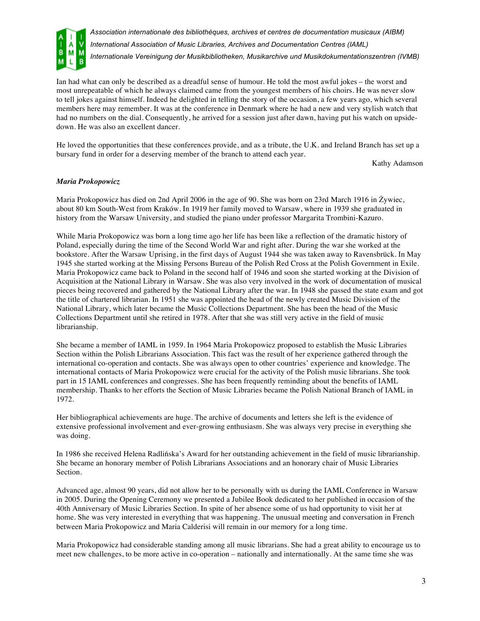

Ian had what can only be described as a dreadful sense of humour. He told the most awful jokes – the worst and most unrepeatable of which he always claimed came from the youngest members of his choirs. He was never slow to tell jokes against himself. Indeed he delighted in telling the story of the occasion, a few years ago, which several members here may remember. It was at the conference in Denmark where he had a new and very stylish watch that had no numbers on the dial. Consequently, he arrived for a session just after dawn, having put his watch on upsidedown. He was also an excellent dancer.

He loved the opportunities that these conferences provide, and as a tribute, the U.K. and Ireland Branch has set up a bursary fund in order for a deserving member of the branch to attend each year.

Kathy Adamson

#### *Maria Prokopowicz*

Maria Prokopowicz has died on 2nd April 2006 in the age of 90. She was born on 23rd March 1916 in Żywiec, about 80 km South-West from Kraków. In 1919 her family moved to Warsaw, where in 1939 she graduated in history from the Warsaw University, and studied the piano under professor Margarita Trombini-Kazuro.

While Maria Prokopowicz was born a long time ago her life has been like a reflection of the dramatic history of Poland, especially during the time of the Second World War and right after. During the war she worked at the bookstore. After the Warsaw Uprising, in the first days of August 1944 she was taken away to Ravensbrück. In May 1945 she started working at the Missing Persons Bureau of the Polish Red Cross at the Polish Government in Exile. Maria Prokopowicz came back to Poland in the second half of 1946 and soon she started working at the Division of Acquisition at the National Library in Warsaw. She was also very involved in the work of documentation of musical pieces being recovered and gathered by the National Library after the war. In 1948 she passed the state exam and got the title of chartered librarian. In 1951 she was appointed the head of the newly created Music Division of the National Library, which later became the Music Collections Department. She has been the head of the Music Collections Department until she retired in 1978. After that she was still very active in the field of music librarianship.

She became a member of IAML in 1959. In 1964 Maria Prokopowicz proposed to establish the Music Libraries Section within the Polish Librarians Association. This fact was the result of her experience gathered through the international co-operation and contacts. She was always open to other countries' experience and knowledge. The international contacts of Maria Prokopowicz were crucial for the activity of the Polish music librarians. She took part in 15 IAML conferences and congresses. She has been frequently reminding about the benefits of IAML membership. Thanks to her efforts the Section of Music Libraries became the Polish National Branch of IAML in 1972.

Her bibliographical achievements are huge. The archive of documents and letters she left is the evidence of extensive professional involvement and ever-growing enthusiasm. She was always very precise in everything she was doing.

In 1986 she received Helena Radlińska's Award for her outstanding achievement in the field of music librarianship. She became an honorary member of Polish Librarians Associations and an honorary chair of Music Libraries Section.

Advanced age, almost 90 years, did not allow her to be personally with us during the IAML Conference in Warsaw in 2005. During the Opening Ceremony we presented a Jubilee Book dedicated to her published in occasion of the 40th Anniversary of Music Libraries Section. In spite of her absence some of us had opportunity to visit her at home. She was very interested in everything that was happening. The unusual meeting and conversation in French between Maria Prokopowicz and Maria Calderisi will remain in our memory for a long time.

Maria Prokopowicz had considerable standing among all music librarians. She had a great ability to encourage us to meet new challenges, to be more active in co-operation – nationally and internationally. At the same time she was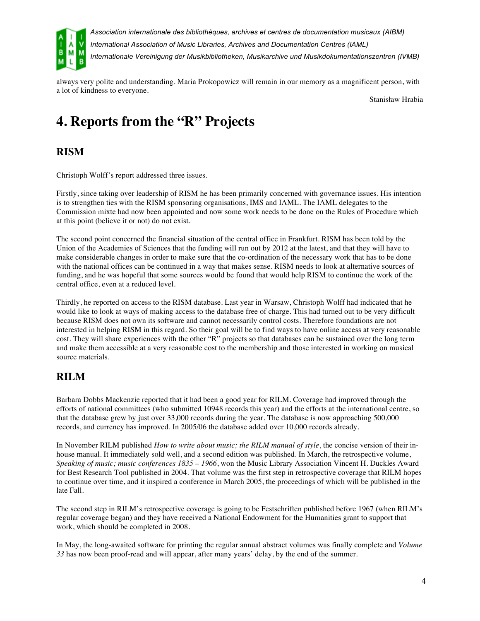

always very polite and understanding. Maria Prokopowicz will remain in our memory as a magnificent person, with a lot of kindness to everyone.

Stanisław Hrabia

# **4. Reports from the "R" Projects**

## **RISM**

Christoph Wolff's report addressed three issues.

Firstly, since taking over leadership of RISM he has been primarily concerned with governance issues. His intention is to strengthen ties with the RISM sponsoring organisations, IMS and IAML. The IAML delegates to the Commission mixte had now been appointed and now some work needs to be done on the Rules of Procedure which at this point (believe it or not) do not exist.

The second point concerned the financial situation of the central office in Frankfurt. RISM has been told by the Union of the Academies of Sciences that the funding will run out by 2012 at the latest, and that they will have to make considerable changes in order to make sure that the co-ordination of the necessary work that has to be done with the national offices can be continued in a way that makes sense. RISM needs to look at alternative sources of funding, and he was hopeful that some sources would be found that would help RISM to continue the work of the central office, even at a reduced level.

Thirdly, he reported on access to the RISM database. Last year in Warsaw, Christoph Wolff had indicated that he would like to look at ways of making access to the database free of charge. This had turned out to be very difficult because RISM does not own its software and cannot necessarily control costs. Therefore foundations are not interested in helping RISM in this regard. So their goal will be to find ways to have online access at very reasonable cost. They will share experiences with the other "R" projects so that databases can be sustained over the long term and make them accessible at a very reasonable cost to the membership and those interested in working on musical source materials.

## **RILM**

Barbara Dobbs Mackenzie reported that it had been a good year for RILM. Coverage had improved through the efforts of national committees (who submitted 10948 records this year) and the efforts at the international centre, so that the database grew by just over 33,000 records during the year. The database is now approaching 500,000 records, and currency has improved. In 2005/06 the database added over 10,000 records already.

In November RILM published *How to write about music; the RILM manual of style*, the concise version of their inhouse manual. It immediately sold well, and a second edition was published. In March, the retrospective volume, *Speaking of music; music conferences 1835 – 1966*, won the Music Library Association Vincent H. Duckles Award for Best Research Tool published in 2004. That volume was the first step in retrospective coverage that RILM hopes to continue over time, and it inspired a conference in March 2005, the proceedings of which will be published in the late Fall.

The second step in RILM's retrospective coverage is going to be Festschriften published before 1967 (when RILM's regular coverage began) and they have received a National Endowment for the Humanities grant to support that work, which should be completed in 2008.

In May, the long-awaited software for printing the regular annual abstract volumes was finally complete and *Volume 33* has now been proof-read and will appear, after many years' delay, by the end of the summer.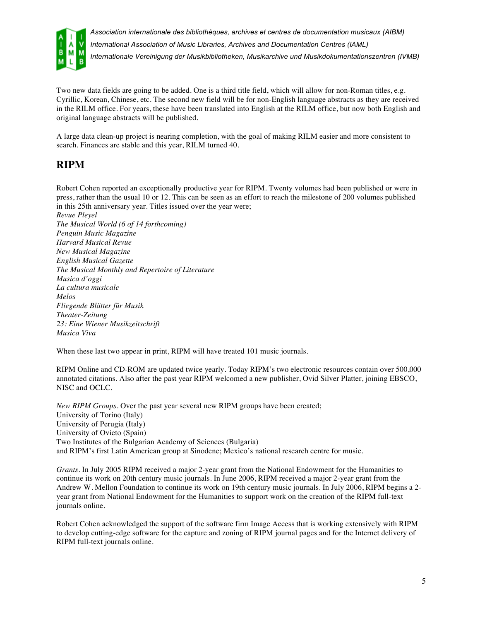

Two new data fields are going to be added. One is a third title field, which will allow for non-Roman titles, e.g. Cyrillic, Korean, Chinese, etc. The second new field will be for non-English language abstracts as they are received in the RILM office. For years, these have been translated into English at the RILM office, but now both English and original language abstracts will be published.

A large data clean-up project is nearing completion, with the goal of making RILM easier and more consistent to search. Finances are stable and this year, RILM turned 40.

### **RIPM**

Robert Cohen reported an exceptionally productive year for RIPM. Twenty volumes had been published or were in press, rather than the usual 10 or 12. This can be seen as an effort to reach the milestone of 200 volumes published in this 25th anniversary year. Titles issued over the year were;

*Revue Pleyel The Musical World (6 of 14 forthcoming) Penguin Music Magazine Harvard Musical Revue New Musical Magazine English Musical Gazette The Musical Monthly and Repertoire of Literature Musica d'oggi La cultura musicale Melos Fliegende Blätter für Musik Theater-Zeitung 23: Eine Wiener Musikzeitschrift Musica Viva*

When these last two appear in print, RIPM will have treated 101 music journals.

RIPM Online and CD-ROM are updated twice yearly. Today RIPM's two electronic resources contain over 500,000 annotated citations. Also after the past year RIPM welcomed a new publisher, Ovid Silver Platter, joining EBSCO, NISC and OCLC.

*New RIPM Groups*. Over the past year several new RIPM groups have been created; University of Torino (Italy) University of Perugia (Italy) University of Ovieto (Spain) Two Institutes of the Bulgarian Academy of Sciences (Bulgaria) and RIPM's first Latin American group at Sinodene; Mexico's national research centre for music.

*Grants*. In July 2005 RIPM received a major 2-year grant from the National Endowment for the Humanities to continue its work on 20th century music journals. In June 2006, RIPM received a major 2-year grant from the Andrew W. Mellon Foundation to continue its work on 19th century music journals. In July 2006, RIPM begins a 2 year grant from National Endowment for the Humanities to support work on the creation of the RIPM full-text journals online.

Robert Cohen acknowledged the support of the software firm Image Access that is working extensively with RIPM to develop cutting-edge software for the capture and zoning of RIPM journal pages and for the Internet delivery of RIPM full-text journals online.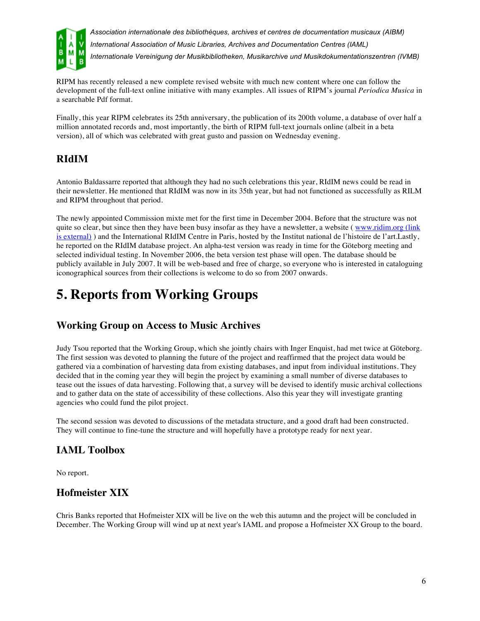

RIPM has recently released a new complete revised website with much new content where one can follow the development of the full-text online initiative with many examples. All issues of RIPM's journal *Periodica Musica* in a searchable Pdf format.

Finally, this year RIPM celebrates its 25th anniversary, the publication of its 200th volume, a database of over half a million annotated records and, most importantly, the birth of RIPM full-text journals online (albeit in a beta version), all of which was celebrated with great gusto and passion on Wednesday evening.

## **RIdIM**

Antonio Baldassarre reported that although they had no such celebrations this year, RIdIM news could be read in their newsletter. He mentioned that RIdIM was now in its 35th year, but had not functioned as successfully as RILM and RIPM throughout that period.

The newly appointed Commission mixte met for the first time in December 2004. Before that the structure was not quite so clear, but since then they have been busy insofar as they have a newsletter, a website (www.ridim.org (link) is external) ) and the International RIdIM Centre in Paris, hosted by the Institut national de l'histoire de l'art.Lastly, he reported on the RIdIM database project. An alpha-test version was ready in time for the Göteborg meeting and selected individual testing. In November 2006, the beta version test phase will open. The database should be publicly available in July 2007. It will be web-based and free of charge, so everyone who is interested in cataloguing iconographical sources from their collections is welcome to do so from 2007 onwards.

# **5. Reports from Working Groups**

### **Working Group on Access to Music Archives**

Judy Tsou reported that the Working Group, which she jointly chairs with Inger Enquist, had met twice at Göteborg. The first session was devoted to planning the future of the project and reaffirmed that the project data would be gathered via a combination of harvesting data from existing databases, and input from individual institutions. They decided that in the coming year they will begin the project by examining a small number of diverse databases to tease out the issues of data harvesting. Following that, a survey will be devised to identify music archival collections and to gather data on the state of accessibility of these collections. Also this year they will investigate granting agencies who could fund the pilot project.

The second session was devoted to discussions of the metadata structure, and a good draft had been constructed. They will continue to fine-tune the structure and will hopefully have a prototype ready for next year.

## **IAML Toolbox**

No report.

### **Hofmeister XIX**

Chris Banks reported that Hofmeister XIX will be live on the web this autumn and the project will be concluded in December. The Working Group will wind up at next year's IAML and propose a Hofmeister XX Group to the board.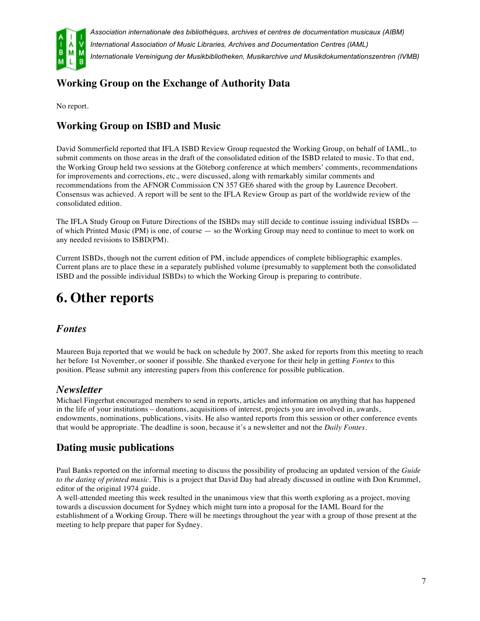

## **Working Group on the Exchange of Authority Data**

No report.

### **Working Group on ISBD and Music**

David Sommerfield reported that IFLA ISBD Review Group requested the Working Group, on behalf of IAML, to submit comments on those areas in the draft of the consolidated edition of the ISBD related to music. To that end, the Working Group held two sessions at the Göteborg conference at which members' comments, recommendations for improvements and corrections, etc., were discussed, along with remarkably similar comments and recommendations from the AFNOR Commission CN 357 GE6 shared with the group by Laurence Decobert. Consensus was achieved. A report will be sent to the IFLA Review Group as part of the worldwide review of the consolidated edition.

The IFLA Study Group on Future Directions of the ISBDs may still decide to continue issuing individual ISBDs of which Printed Music (PM) is one, of course — so the Working Group may need to continue to meet to work on any needed revisions to ISBD(PM).

Current ISBDs, though not the current edition of PM, include appendices of complete bibliographic examples. Current plans are to place these in a separately published volume (presumably to supplement both the consolidated ISBD and the possible individual ISBDs) to which the Working Group is preparing to contribute.

# **6. Other reports**

#### *Fontes*

Maureen Buja reported that we would be back on schedule by 2007. She asked for reports from this meeting to reach her before 1st November, or sooner if possible. She thanked everyone for their help in getting *Fontes* to this position. Please submit any interesting papers from this conference for possible publication.

#### *Newsletter*

Michael Fingerhut encouraged members to send in reports, articles and information on anything that has happened in the life of your institutions – donations, acquisitions of interest, projects you are involved in, awards, endowments, nominations, publications, visits. He also wanted reports from this session or other conference events that would be appropriate. The deadline is soon, because it's a newsletter and not the *Daily Fontes*.

### **Dating music publications**

Paul Banks reported on the informal meeting to discuss the possibility of producing an updated version of the *Guide to the dating of printed music*. This is a project that David Day had already discussed in outline with Don Krummel, editor of the original 1974 guide.

A well-attended meeting this week resulted in the unanimous view that this worth exploring as a project, moving towards a discussion document for Sydney which might turn into a proposal for the IAML Board for the establishment of a Working Group. There will be meetings throughout the year with a group of those present at the meeting to help prepare that paper for Sydney.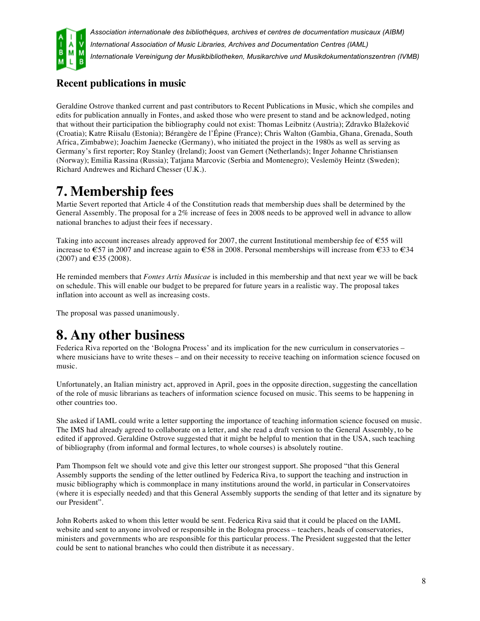

## **Recent publications in music**

Geraldine Ostrove thanked current and past contributors to Recent Publications in Music, which she compiles and edits for publication annually in Fontes, and asked those who were present to stand and be acknowledged, noting that without their participation the bibliography could not exist: Thomas Leibnitz (Austria); Zdravko Blažeković (Croatia); Katre Riisalu (Estonia); Bérangère de l'Épine (France); Chris Walton (Gambia, Ghana, Grenada, South Africa, Zimbabwe); Joachim Jaenecke (Germany), who initiated the project in the 1980s as well as serving as Germany's first reporter; Roy Stanley (Ireland); Joost van Gemert (Netherlands); Inger Johanne Christiansen (Norway); Emilia Rassina (Russia); Tatjana Marcovic (Serbia and Montenegro); Veslemöy Heintz (Sweden); Richard Andrewes and Richard Chesser (U.K.).

# **7. Membership fees**

Martie Severt reported that Article 4 of the Constitution reads that membership dues shall be determined by the General Assembly. The proposal for a 2% increase of fees in 2008 needs to be approved well in advance to allow national branches to adjust their fees if necessary.

Taking into account increases already approved for 2007, the current Institutional membership fee of  $\epsilon$ 55 will increase to €57 in 2007 and increase again to €58 in 2008. Personal memberships will increase from €33 to €34  $(2007)$  and  $\in$  35 (2008).

He reminded members that *Fontes Artis Musicae* is included in this membership and that next year we will be back on schedule. This will enable our budget to be prepared for future years in a realistic way. The proposal takes inflation into account as well as increasing costs.

The proposal was passed unanimously.

# **8. Any other business**

Federica Riva reported on the 'Bologna Process' and its implication for the new curriculum in conservatories – where musicians have to write theses – and on their necessity to receive teaching on information science focused on music.

Unfortunately, an Italian ministry act, approved in April, goes in the opposite direction, suggesting the cancellation of the role of music librarians as teachers of information science focused on music. This seems to be happening in other countries too.

She asked if IAML could write a letter supporting the importance of teaching information science focused on music. The IMS had already agreed to collaborate on a letter, and she read a draft version to the General Assembly, to be edited if approved. Geraldine Ostrove suggested that it might be helpful to mention that in the USA, such teaching of bibliography (from informal and formal lectures, to whole courses) is absolutely routine.

Pam Thompson felt we should vote and give this letter our strongest support. She proposed "that this General Assembly supports the sending of the letter outlined by Federica Riva, to support the teaching and instruction in music bibliography which is commonplace in many institutions around the world, in particular in Conservatoires (where it is especially needed) and that this General Assembly supports the sending of that letter and its signature by our President".

John Roberts asked to whom this letter would be sent. Federica Riva said that it could be placed on the IAML website and sent to anyone involved or responsible in the Bologna process – teachers, heads of conservatories, ministers and governments who are responsible for this particular process. The President suggested that the letter could be sent to national branches who could then distribute it as necessary.